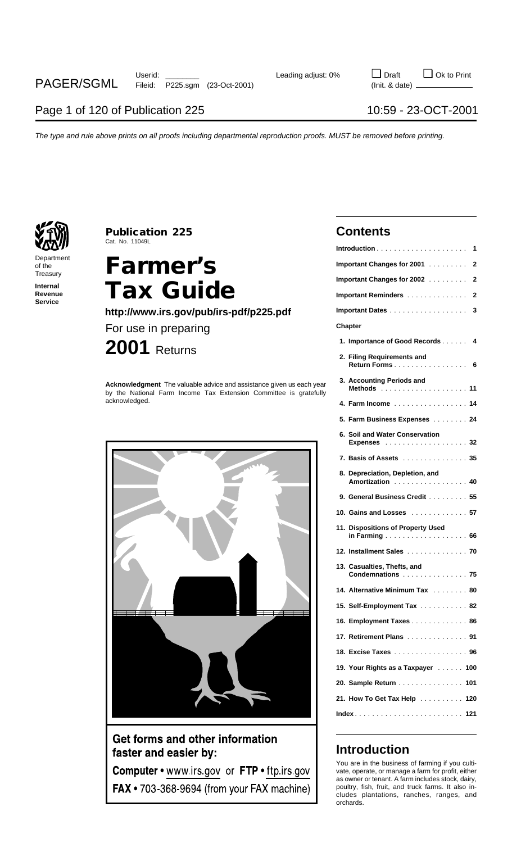

### **Publication 225 Contents** Cat. No. 11049L

# **Internal Tax Guide http://www.irs.gov/pub/irs-pdf/p225.pdf**



### Get forms and other information faster and easier by:

Computer • www.irs.gov or FTP • ftp.irs.gov FAX • 703-368-9694 (from your FAX machine)

|                                | Cat. No. 11049L                                                                                                                                            |                                                      |
|--------------------------------|------------------------------------------------------------------------------------------------------------------------------------------------------------|------------------------------------------------------|
| Department<br>of the           | <b>Farmer's</b>                                                                                                                                            | Important Changes for 2001 2                         |
| Treasury                       |                                                                                                                                                            | Important Changes for 2002 2                         |
| Internal<br>Revenue<br>Service | <b>Tax Guide</b>                                                                                                                                           | Important Reminders 2                                |
|                                | http://www.irs.gov/pub/irs-pdf/p225.pdf                                                                                                                    | Important Dates 3                                    |
|                                | For use in preparing                                                                                                                                       | Chapter                                              |
|                                | $2001$ Returns                                                                                                                                             | 1. Importance of Good Records 4                      |
|                                |                                                                                                                                                            | 2. Filing Requirements and                           |
|                                | Acknowledgment The valuable advice and assistance given us each year<br>by the National Farm Income Tax Extension Committee is gratefully<br>acknowledged. | 3. Accounting Periods and                            |
|                                |                                                                                                                                                            | 4. Farm Income 14                                    |
|                                |                                                                                                                                                            | 5. Farm Business Expenses 24                         |
|                                |                                                                                                                                                            | 6. Soil and Water Conservation<br><b>Expenses</b> 32 |
|                                |                                                                                                                                                            | 7. Basis of Assets 35                                |
|                                |                                                                                                                                                            | 8. Depreciation, Depletion, and<br>Amortization 40   |
|                                |                                                                                                                                                            | 9. General Business Credit 55                        |
|                                |                                                                                                                                                            | 10. Gains and Losses  57                             |
|                                |                                                                                                                                                            | 11. Dispositions of Property Used                    |
|                                |                                                                                                                                                            | 12. Installment Sales 70                             |
|                                |                                                                                                                                                            | 13. Casualties, Thefts, and<br>Condemnations  75     |
|                                |                                                                                                                                                            | 14. Alternative Minimum Tax 80                       |
|                                |                                                                                                                                                            | 15. Self-Employment Tax 82                           |
|                                |                                                                                                                                                            | 16. Employment Taxes 86                              |
|                                |                                                                                                                                                            | 17. Retirement Plans 91                              |
|                                |                                                                                                                                                            | 18. Excise Taxes 96                                  |
|                                |                                                                                                                                                            | 19. Your Rights as a Taxpayer 100                    |
|                                |                                                                                                                                                            | 20. Sample Return 101                                |
|                                |                                                                                                                                                            | 21. How To Get Tax Help 120                          |
|                                |                                                                                                                                                            |                                                      |

### **Introduction**

You are in the business of farming if you cultivate, operate, or manage a farm for profit, either as owner or tenant. A farm includes stock, dairy, poultry, fish, fruit, and truck farms. It also includes plantations, ranches, ranges, and orchards.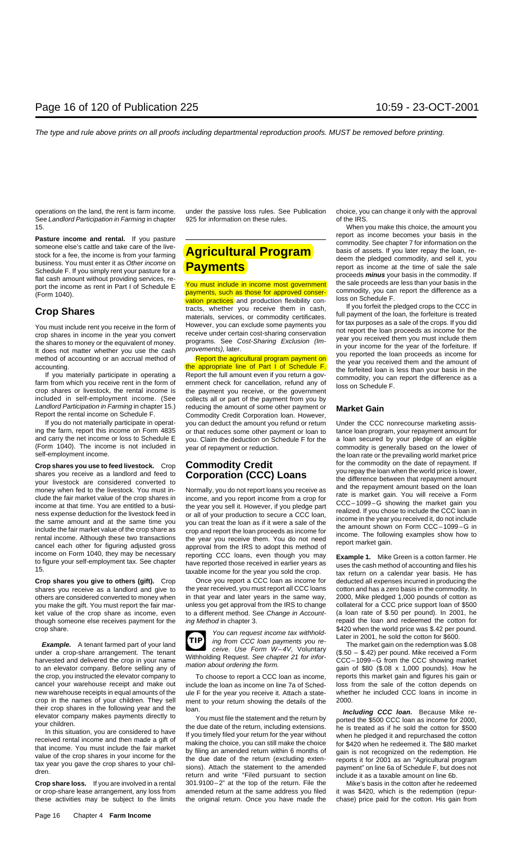See Landlord Participation in Farming in chapter 925 for information on these rules. of the IRS. 15. When you make this choice, the amount you

included in self-employment income. (See collects all or part of the payment from you by

(Form 1040). The income is not included in year of repayment or reduction. commodity is generally based on the lower of self-employment income.

Crop shares you use to feed livestock. Crop **Commodity Credit**<br>
shares you receive as a landlord and feed to **Corporation (CCC) Loans** for the commodity on the date of repayment. If<br>
you repay the difference between that r

shares you receive as a landlord and give to the year received, you must report all CCC loans cotton and has a zero basis in the commodity. In others are considered converted to money when in that year and later years in the same way, 2000, Mike pledged 1,000 pounds of cotton as<br>you make the gift. You must report the fair mar- unless you get approval from the IRS you make the gift. You must report the fair mar- unless you get approval from the IRS to change ket value of the crop share as income, even to a different method. See Change in Account- (a loan rate of \$.50 per pound). In 2001, he though someone else receives payment for the *ing Method* in chapter 3. The repaid the loan and redeemed the cotton for

under a crop-share arrangement. The tenant<br>harvested and delivered the crop in your name<br>to an elevator company. Before selling any of mation about ordering the form.<br>to an elevator company. Before selling any of mation a the crop, you instructed the elevator company to To choose to report a CCC loan as income, reports this market gain and figures his gain or cancel vour warehouse receipt and make out include the loan as income on line 7a o cancel your warehouse receipt and make out include the loan as income on line 7a of Sched-<br>new warehouse receipts in equal amounts of the ule F for the vear you receive it. Attach a state-<br>whether he included CCC loans in new warehouse receipts in equal amounts of the ule F for the year you receive it. Attach a state- crop in the names of your children. They sell ment to your return showing the details of the crop in the names of your children. They sell ment to your return showing the details of the 2000.<br>their crop shares in the following year and the  $_{\text{loan}}$ 

these activities may be subject to the limits the original return. Once you have made the chase) price paid for the cotton. His gain from

Landlord Participation in Farming in chapter 15.) reducing the amount of some other payment or **Market Gain** port the rental income on Schedule F. Commodity Credit Corporation Ioan. However,<br>If you do not materially participate in operat-vou can deduct the amount you refund or return If you do not materially participate in operat-<br>ing the farm, report this income on Form 4835 or that reduces some other payment or loan to tance loan program. your repayment amount for or that reduces some other payment or loan to tance loan program, your repayment amount for and carry the net income or loss to Schedule E you. Claim the deduction on Schedule F for the a loan secured by your pledge of an eligible (Form 1040). The income is not included in vear of repayment or reduction.

income on Form 1040, they may be necessary<br>to figure your self-employment tax. See chapter have reported those received in earlier years as uses the cash method of accounting and files his<br>15. taxable income for the year y

**Crop shares you give to others (gift).** Crop Once you report a CCC loan as income for deducted all expenses incurred in producing the

crop share.<br> **Example.** A tenant farmed part of your land<br>
Later in 2001, he sold the cotton for \$600.<br>
Later in 2001, he sold the cotton for \$600.<br>
Later in 2001, he sold the cotton for \$600.<br>
Later in 2001, he sold the **TIP**

**Crop share loss.** If you are involved in a rental 301.9100-2" at the top of the return. File the Mike's basis in the cotton after he redeemed or crop-share lease arrangement, any loss from amended return at the same address you filed it was \$420, which is the redemption (repur-

operations on the land, the rent is farm income. under the passive loss rules. See Publication choice, you can change it only with the approval

**Pasture income and rental.** If you pasture<br>
someone else's cattle and take care of the live-<br>
stock for a fee, the income is from your farming<br>
stock for a fee, the income is from your farming<br>
stock of a fee, the income

You must include rent you receive in the form of<br>the shares in income in the year you convert<br>the shares to money or the equivalent of money.<br>It does not matter whether you use the cash<br>It does not matter whether you use t

the loan rate or the prevailing world market price

their crop shares in the following year and the loan.<br>
You must file the statement and the return by<br>
your children.<br>
In this situation, you are considered to have<br>
In the due date of the return, including extensions.<br>
In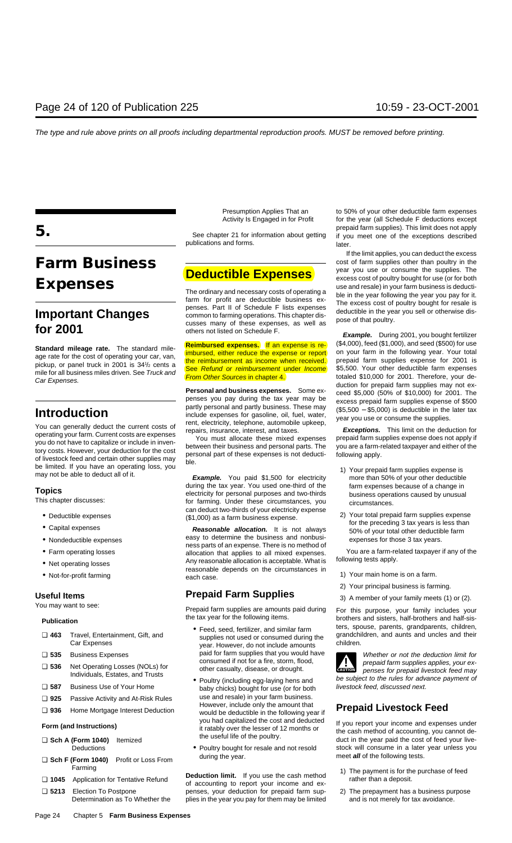publications and forms.

**Topics**<br>
This chapter discusses:<br>
This chapter discusses:<br>
This chapter discusses:<br>
This chapter discusses:<br>
This chapter discusses:<br>
Can deduct two-thirds of your electricity expense<br>
Can deduct two-thirds of your electr

• Farm operating losses allocation that applies to all mixed expenses. You are a farm-related taxpaye<br>
• Net operating losses Any reasonable allocation is acceptable. What is following tests apply.<br>
• Not-for-profit farmi

## Useful Items<br>
You may want to see:<br> **Prepaid Farm Supplies**<br> **Prepaid Farm Supplies**<br> **Prepaid Farm Supplies**

Prepaid farm supplies are amounts paid during For this purpose, your family includes your<br>the tax year for the following items.<br>brothers and sisters, half-brothers and half-sis-

- <p>❑ <b>463</b> Travel, Entertainment, Gift, and Car Expenses</p>\n<p>❑ <b>463</b> Travel, Entertainment, Gift, and Car Expenses</p>\n<p>❑ <b>464</b> or consumed during the<br/>year. However, do not include amounts</p> ❏ **535** Business Expenses paid for farm supplies that you would have Whether or not the deduction limit for
- ❏ **925** Passive Activity and At-Risk Rules use and resale) in your farm business. However, include only the amount that ❏ **<sup>936</sup>** Home Mortgage Interest Deduction **Prepaid Livestock Feed** would be deductible in the following year if
	-

Farming<br> **Deduction limit.** If you use the cash method 1) The payment is for the purchase of feed<br> **Q 1045** Application for Tentative Refund of accounting to report your income and ex-<br> **Q 5213** Election To Postpone pense □ 5213 Election To Postpone penses, your deduction for prepaid farm sup-Determination as To Whether the plies in the year you pay for them may be limited and is not merely for tax avoidance.

Presumption Applies That an to 50% of your other deductible farm expenses Activity Is Engaged in for Profit for the year (all Schedule F deductions except prepaid farm supplies). This limit does not apply **5.** See chapter 21 for information about getting if you meet one of the exceptions described

If the limit applies, you can deduct the excess **Farm Business**<br> **Farm** Business Cost of farm supplies other than poultry in the<br> **Deductible Expenses Expenses**<br> **Expenses**<br>
The ordinary and necessary costs of operating a<br>
The ordinary and necessary costs of operating a<br>
tarm for profit are deductible business ex-<br>
The verating a<br>
tarm for profit are deductible business

**Standard mileage rate.** The standard mile-<br>age rate for the cost of operating your car, van,<br>pickup, or panel truck in 2001 is  $34\frac{1}{2}$  cents a<br>pickup, or panel truck in 2001 is  $34\frac{1}{2}$  cents a<br>pickup, or panel tr pickup, or panel truck in 2001 is 34<sup>1</sup>/<sub>2</sub> cents a<br>mile for all business miles diven. See *Truck and* **Example to the compulsion of the compulsion of the Car Expenses.**<br>Car Expenses.<br>
Car Expenses in the compulsion of the

- 
- Deductible expenses<br>
 Capital expenses<br>
 Capital expenses<br>
 Capital expenses<br>
 Nondeductible expenses<br>
 Nondeductible expenses<br>
 Nondeductible expenses<br>
 Farm operating losses<br>
 Farm operating losses<br>
 Farm oper

- 
- 2) Your principal business is farming.
- 

the tax year for the following items. brothers and sisters, half-brothers and half-sis- **Publication** • Feed, seed, fertilizer, and similar farm ters, spouse, parents, grandparents, children, supplies not used or consumed during the grandchildren, and aunts and uncles and their

□ 536 Net Operating Losses (NOLs) for consumed if not for a fire, storm, flood,<br>
ndividuals, Estates, and Trusts<br>
and Trusts and Trusts and Trusts and Trusts and Trusts and Trusts and Trusts and Trusts and Trusts and Trus **! 1999 Boultry (including egg-laying hens and** be subject to the rules for advance payment of **587** Business Use of Your Home baby chicks) bought for use (or for both *livestock feed, discussed next.* 

you had capitalized the cost and deducted<br>it ratably over the lesser of 12 months or the cash method of accounting, you cannot de-<br>⊒ Sch A (Form 1040) Itemized the useful life of the poultry. The cash method of accounting Deductions • Poultry bought for resale and not resold stock will consume in a later year unless you<br>
The start and the following tests.

- 
- 

- 
- 
- 
- 
- 
- 

- 
- 
- 
- 
- 
- 

- 
- **□ Sch F (Form 1040)** Profit or Loss From during the year.
- 
-